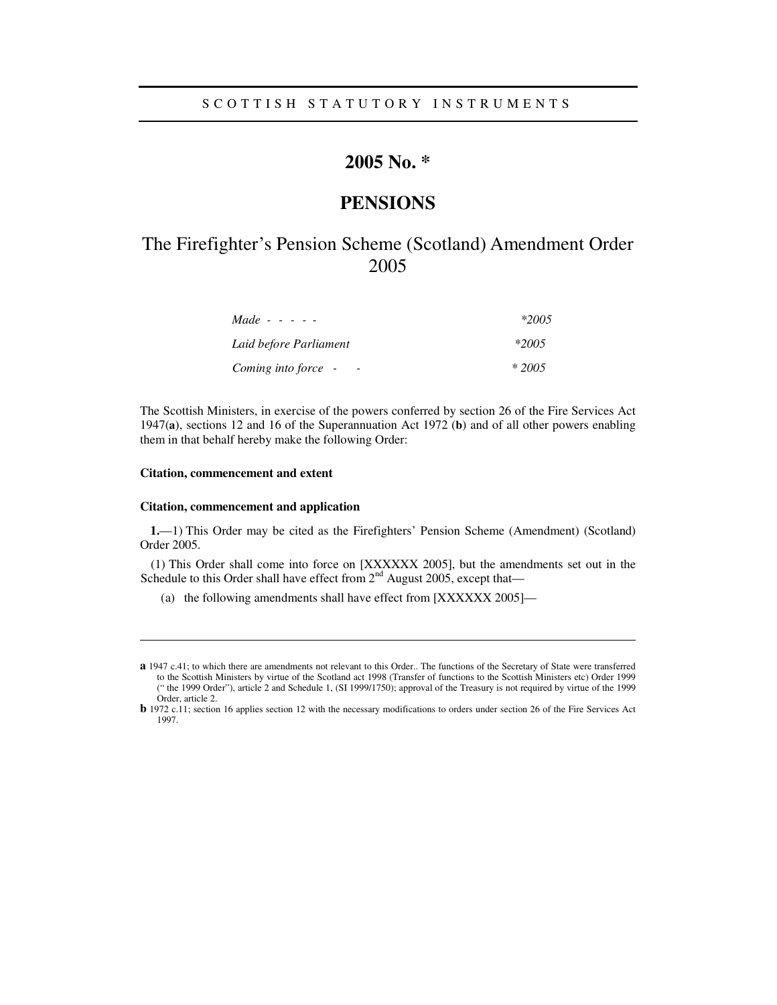# **2005 No. \***

# **PENSIONS**

# The Firefighter's Pension Scheme (Scotland) Amendment Order 2005

| <i>Made</i> - - - - -  | $*2005$ |
|------------------------|---------|
| Laid before Parliament | $*2005$ |
| Coming into force -    | $*2005$ |

The Scottish Ministers, in exercise of the powers conferred by section 26 of the Fire Services Act 1947(**a**), sections 12 and 16 of the Superannuation Act 1972 (**b**) and of all other powers enabling them in that behalf hereby make the following Order:

### **Citation, commencement and extent**

 $\overline{a}$ 

#### **Citation, commencement and application**

**1.**—1) This Order may be cited as the Firefighters' Pension Scheme (Amendment) (Scotland) Order 2005.

(1) This Order shall come into force on [XXXXXX 2005], but the amendments set out in the Schedule to this Order shall have effect from  $2<sup>nd</sup>$  August 2005, except that—

(a) the following amendments shall have effect from [XXXXXX 2005]—

**a** 1947 c.41; to which there are amendments not relevant to this Order.. The functions of the Secretary of State were transferred to the Scottish Ministers by virtue of the Scotland act 1998 (Transfer of functions to the Scottish Ministers etc) Order 1999 (" the 1999 Order"), article 2 and Schedule 1, (SI 1999/1750); approval of the Treasury is not required by virtue of the 1999 Order, article 2.

**b** 1972 c.11; section 16 applies section 12 with the necessary modifications to orders under section 26 of the Fire Services Act 1997.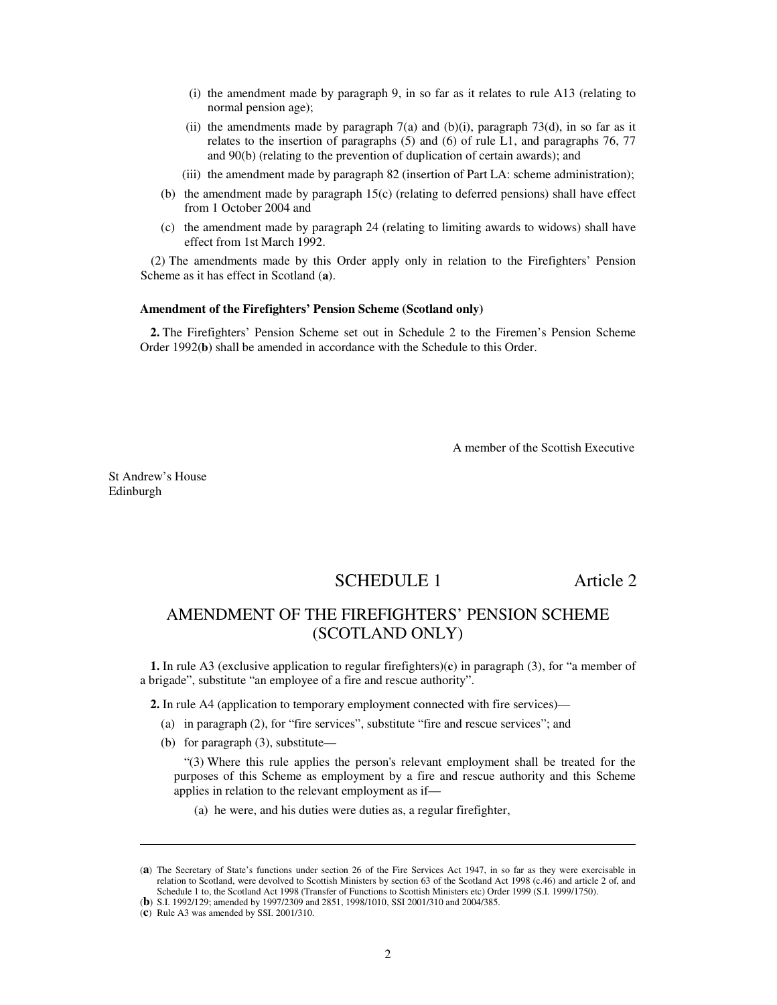- (i) the amendment made by paragraph 9, in so far as it relates to rule A13 (relating to normal pension age);
- (ii) the amendments made by paragraph  $7(a)$  and (b)(i), paragraph  $73(d)$ , in so far as it relates to the insertion of paragraphs (5) and (6) of rule L1, and paragraphs 76, 77 and 90(b) (relating to the prevention of duplication of certain awards); and
- (iii) the amendment made by paragraph 82 (insertion of Part LA: scheme administration);
- (b) the amendment made by paragraph 15(c) (relating to deferred pensions) shall have effect from 1 October 2004 and
- (c) the amendment made by paragraph 24 (relating to limiting awards to widows) shall have effect from 1st March 1992.

(2) The amendments made by this Order apply only in relation to the Firefighters' Pension Scheme as it has effect in Scotland (**a**).

### **Amendment of the Firefighters' Pension Scheme (Scotland only)**

**2.** The Firefighters' Pension Scheme set out in Schedule 2 to the Firemen's Pension Scheme Order 1992(**b**) shall be amended in accordance with the Schedule to this Order.

A member of the Scottish Executive

St Andrew's House Edinburgh

j

# SCHEDULE 1 Article 2

# AMENDMENT OF THE FIREFIGHTERS' PENSION SCHEME (SCOTLAND ONLY)

**1.** In rule A3 (exclusive application to regular firefighters)(**c**) in paragraph (3), for "a member of a brigade", substitute "an employee of a fire and rescue authority".

**2.** In rule A4 (application to temporary employment connected with fire services)—

- (a) in paragraph (2), for "fire services", substitute "fire and rescue services"; and
- (b) for paragraph (3), substitute—

"(3) Where this rule applies the person's relevant employment shall be treated for the purposes of this Scheme as employment by a fire and rescue authority and this Scheme applies in relation to the relevant employment as if—

(a) he were, and his duties were duties as, a regular firefighter,

<sup>(</sup>**a**) The Secretary of State's functions under section 26 of the Fire Services Act 1947, in so far as they were exercisable in relation to Scotland, were devolved to Scottish Ministers by section 63 of the Scotland Act 1998 (c.46) and article 2 of, and Schedule 1 to, the Scotland Act 1998 (Transfer of Functions to Scottish Ministers etc) Order 1999 (S.I. 1999/1750).

<sup>(</sup>**b**) S.I. 1992/129; amended by 1997/2309 and 2851, 1998/1010, SSI 2001/310 and 2004/385.

<sup>(</sup>**c**) Rule A3 was amended by SSI. 2001/310.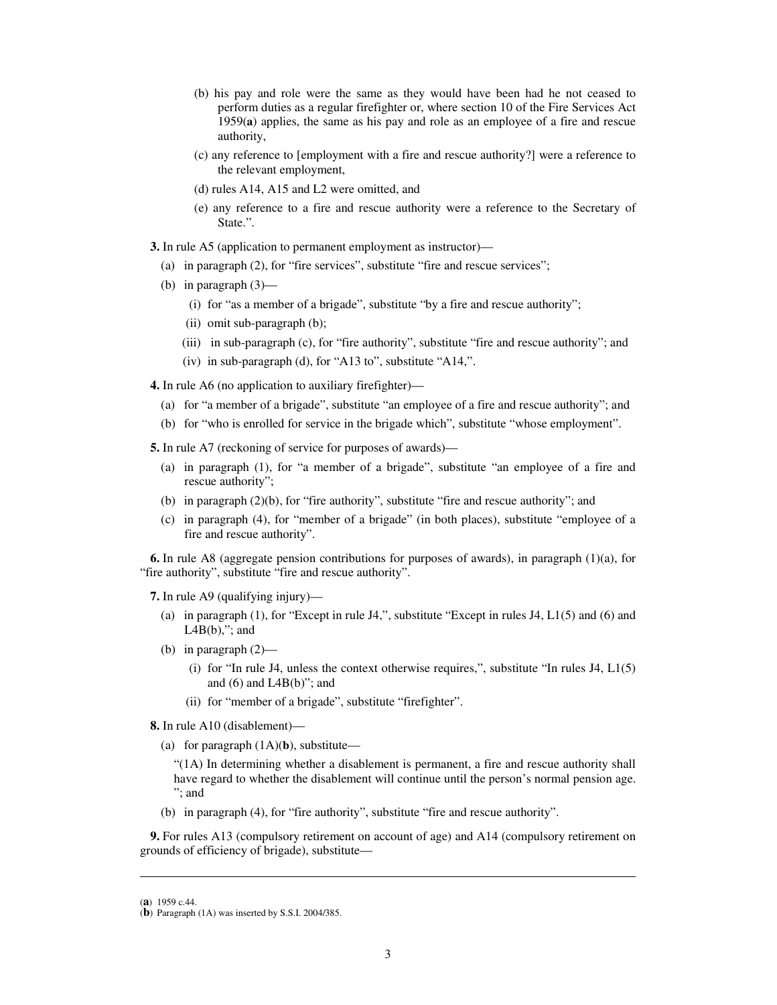- (b) his pay and role were the same as they would have been had he not ceased to perform duties as a regular firefighter or, where section 10 of the Fire Services Act 1959(**a**) applies, the same as his pay and role as an employee of a fire and rescue authority,
- (c) any reference to [employment with a fire and rescue authority?] were a reference to the relevant employment,
- (d) rules A14, A15 and L2 were omitted, and
- (e) any reference to a fire and rescue authority were a reference to the Secretary of State.".
- **3.** In rule A5 (application to permanent employment as instructor)—
	- (a) in paragraph (2), for "fire services", substitute "fire and rescue services";
	- (b) in paragraph (3)—
		- (i) for "as a member of a brigade", substitute "by a fire and rescue authority";
		- (ii) omit sub-paragraph (b);
		- (iii) in sub-paragraph (c), for "fire authority", substitute "fire and rescue authority"; and
		- (iv) in sub-paragraph (d), for "A13 to", substitute "A14,".
- **4.** In rule A6 (no application to auxiliary firefighter)—
	- (a) for "a member of a brigade", substitute "an employee of a fire and rescue authority"; and
	- (b) for "who is enrolled for service in the brigade which", substitute "whose employment".

**5.** In rule A7 (reckoning of service for purposes of awards)—

- (a) in paragraph (1), for "a member of a brigade", substitute "an employee of a fire and rescue authority";
- (b) in paragraph (2)(b), for "fire authority", substitute "fire and rescue authority"; and
- (c) in paragraph (4), for "member of a brigade" (in both places), substitute "employee of a fire and rescue authority".

**6.** In rule A8 (aggregate pension contributions for purposes of awards), in paragraph (1)(a), for "fire authority", substitute "fire and rescue authority".

**7.** In rule A9 (qualifying injury)—

- (a) in paragraph (1), for "Except in rule J4,", substitute "Except in rules J4, L1(5) and (6) and  $LAB(b)$ ,"; and
- (b) in paragraph (2)—
	- (i) for "In rule J4, unless the context otherwise requires,", substitute "In rules J4, L1(5) and (6) and L4B(b)"; and
	- (ii) for "member of a brigade", substitute "firefighter".

**8.** In rule A10 (disablement)—

(a) for paragraph (1A)(**b**), substitute—

"(1A) In determining whether a disablement is permanent, a fire and rescue authority shall have regard to whether the disablement will continue until the person's normal pension age. "; and

(b) in paragraph (4), for "fire authority", substitute "fire and rescue authority".

**9.** For rules A13 (compulsory retirement on account of age) and A14 (compulsory retirement on grounds of efficiency of brigade), substitute—

 $\overline{a}$ 

<sup>(</sup>**a**) 1959 c.44.

<sup>(</sup>**b**) Paragraph (1A) was inserted by S.S.I. 2004/385.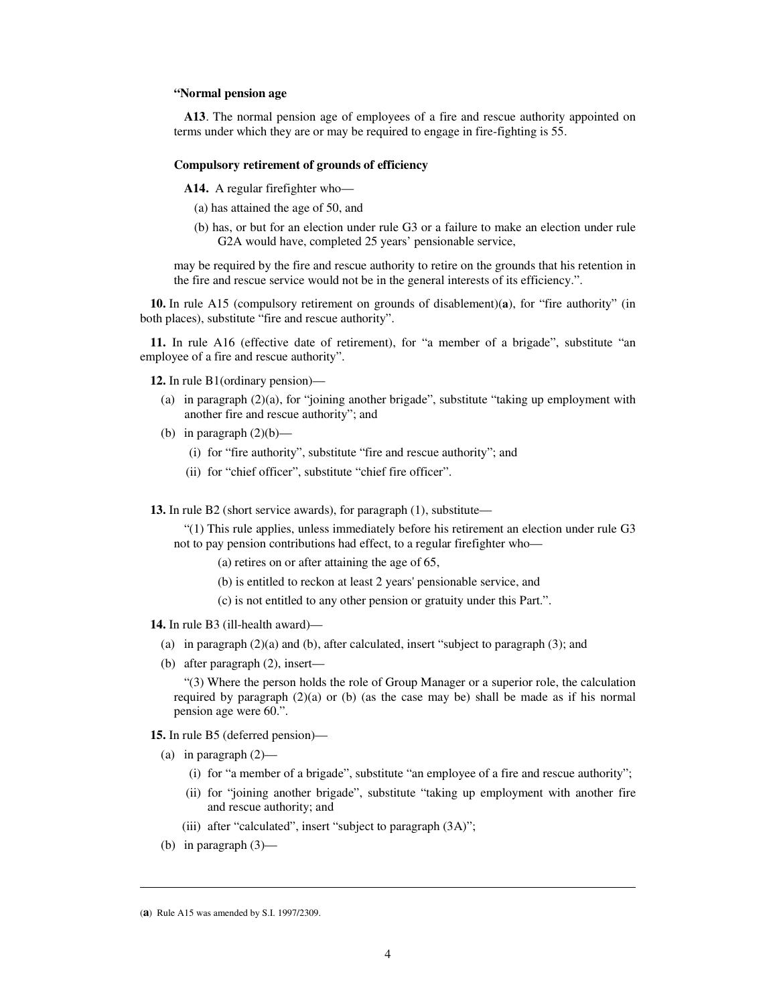## **"Normal pension age**

**A13**. The normal pension age of employees of a fire and rescue authority appointed on terms under which they are or may be required to engage in fire-fighting is 55.

#### **Compulsory retirement of grounds of efficiency**

**A14.** A regular firefighter who—

- (a) has attained the age of 50, and
- (b) has, or but for an election under rule G3 or a failure to make an election under rule G2A would have, completed 25 years' pensionable service,

may be required by the fire and rescue authority to retire on the grounds that his retention in the fire and rescue service would not be in the general interests of its efficiency.".

**10.** In rule A15 (compulsory retirement on grounds of disablement)(**a**), for "fire authority" (in both places), substitute "fire and rescue authority".

**11.** In rule A16 (effective date of retirement), for "a member of a brigade", substitute "an employee of a fire and rescue authority".

**12.** In rule B1(ordinary pension)—

- (a) in paragraph (2)(a), for "joining another brigade", substitute "taking up employment with another fire and rescue authority"; and
- (b) in paragraph  $(2)(b)$ 
	- (i) for "fire authority", substitute "fire and rescue authority"; and
	- (ii) for "chief officer", substitute "chief fire officer".

**13.** In rule B2 (short service awards), for paragraph (1), substitute—

"(1) This rule applies, unless immediately before his retirement an election under rule G3 not to pay pension contributions had effect, to a regular firefighter who—

- (a) retires on or after attaining the age of 65,
- (b) is entitled to reckon at least 2 years' pensionable service, and
- (c) is not entitled to any other pension or gratuity under this Part.".

#### **14.** In rule B3 (ill-health award)—

- (a) in paragraph (2)(a) and (b), after calculated, insert "subject to paragraph (3); and
- (b) after paragraph (2), insert—

"(3) Where the person holds the role of Group Manager or a superior role, the calculation required by paragraph  $(2)(a)$  or (b) (as the case may be) shall be made as if his normal pension age were 60.".

**15.** In rule B5 (deferred pension)—

- (a) in paragraph (2)—
	- (i) for "a member of a brigade", substitute "an employee of a fire and rescue authority";
	- (ii) for "joining another brigade", substitute "taking up employment with another fire and rescue authority; and
	- (iii) after "calculated", insert "subject to paragraph  $(3A)$ ";
- (b) in paragraph (3)—

<sup>(</sup>**a**) Rule A15 was amended by S.I. 1997/2309.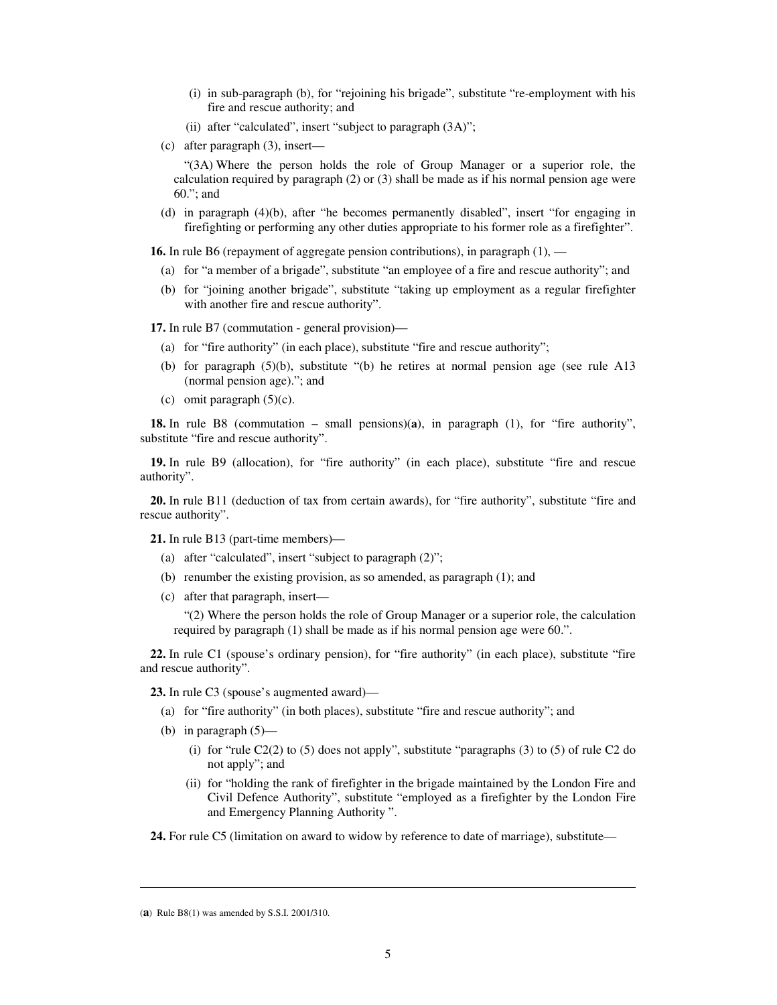- (i) in sub-paragraph (b), for "rejoining his brigade", substitute "re-employment with his fire and rescue authority; and
- (ii) after "calculated", insert "subject to paragraph (3A)";
- (c) after paragraph (3), insert—

"(3A) Where the person holds the role of Group Manager or a superior role, the calculation required by paragraph (2) or (3) shall be made as if his normal pension age were 60."; and

(d) in paragraph (4)(b), after "he becomes permanently disabled", insert "for engaging in firefighting or performing any other duties appropriate to his former role as a firefighter".

**16.** In rule B6 (repayment of aggregate pension contributions), in paragraph (1), —

- (a) for "a member of a brigade", substitute "an employee of a fire and rescue authority"; and
- (b) for "joining another brigade", substitute "taking up employment as a regular firefighter with another fire and rescue authority".

**17.** In rule B7 (commutation - general provision)—

- (a) for "fire authority" (in each place), substitute "fire and rescue authority";
- (b) for paragraph (5)(b), substitute "(b) he retires at normal pension age (see rule A13 (normal pension age)."; and
- (c) omit paragraph  $(5)(c)$ .

**18.** In rule B8 (commutation – small pensions)(**a**), in paragraph (1), for "fire authority", substitute "fire and rescue authority".

**19.** In rule B9 (allocation), for "fire authority" (in each place), substitute "fire and rescue authority".

**20.** In rule B11 (deduction of tax from certain awards), for "fire authority", substitute "fire and rescue authority".

**21.** In rule B13 (part-time members)—

- (a) after "calculated", insert "subject to paragraph (2)";
- (b) renumber the existing provision, as so amended, as paragraph (1); and
- (c) after that paragraph, insert—

"(2) Where the person holds the role of Group Manager or a superior role, the calculation required by paragraph (1) shall be made as if his normal pension age were 60.".

**22.** In rule C1 (spouse's ordinary pension), for "fire authority" (in each place), substitute "fire and rescue authority".

**23.** In rule C3 (spouse's augmented award)—

- (a) for "fire authority" (in both places), substitute "fire and rescue authority"; and
- (b) in paragraph (5)—
	- (i) for "rule  $C2(2)$  to (5) does not apply", substitute "paragraphs (3) to (5) of rule C2 do not apply"; and
	- (ii) for "holding the rank of firefighter in the brigade maintained by the London Fire and Civil Defence Authority", substitute "employed as a firefighter by the London Fire and Emergency Planning Authority ".

**24.** For rule C5 (limitation on award to widow by reference to date of marriage), substitute—

<sup>(</sup>**a**) Rule B8(1) was amended by S.S.I. 2001/310.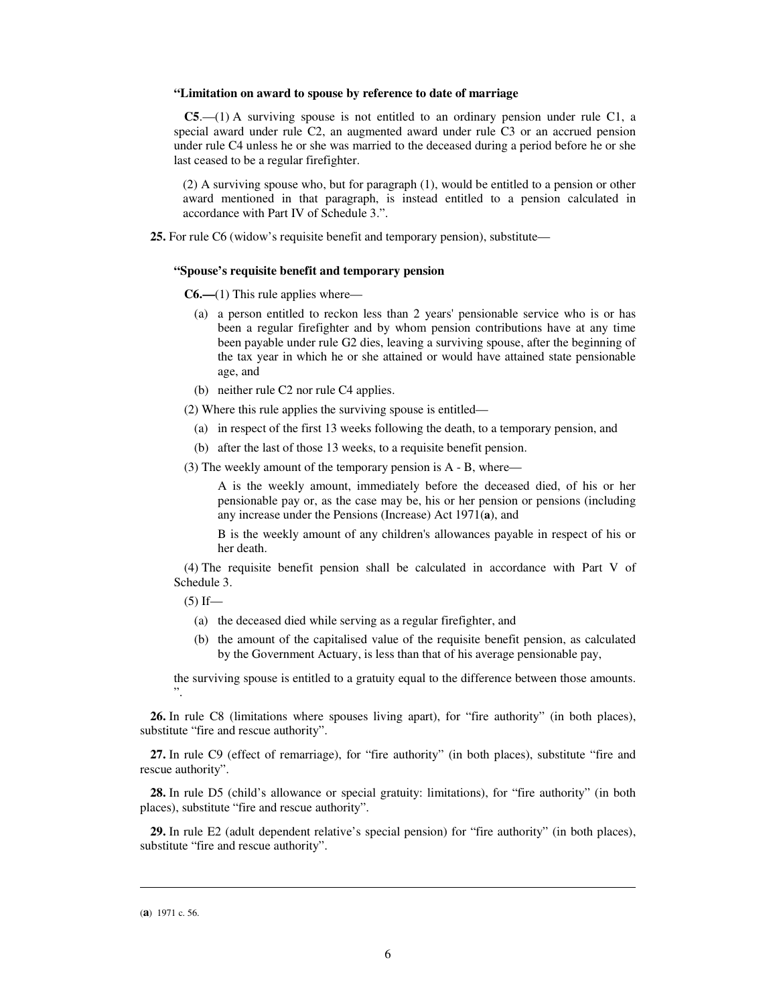#### **"Limitation on award to spouse by reference to date of marriage**

**C5**.—(1) A surviving spouse is not entitled to an ordinary pension under rule C1, a special award under rule C2, an augmented award under rule C3 or an accrued pension under rule C4 unless he or she was married to the deceased during a period before he or she last ceased to be a regular firefighter.

 (2) A surviving spouse who, but for paragraph (1), would be entitled to a pension or other award mentioned in that paragraph, is instead entitled to a pension calculated in accordance with Part IV of Schedule 3.".

**25.** For rule C6 (widow's requisite benefit and temporary pension), substitute—

#### **"Spouse's requisite benefit and temporary pension**

**C6.—**(1) This rule applies where—

- (a) a person entitled to reckon less than 2 years' pensionable service who is or has been a regular firefighter and by whom pension contributions have at any time been payable under rule G2 dies, leaving a surviving spouse, after the beginning of the tax year in which he or she attained or would have attained state pensionable age, and
- (b) neither rule C2 nor rule C4 applies.

(2) Where this rule applies the surviving spouse is entitled—

- (a) in respect of the first 13 weeks following the death, to a temporary pension, and
- (b) after the last of those 13 weeks, to a requisite benefit pension.
- (3) The weekly amount of the temporary pension is A B, where—

A is the weekly amount, immediately before the deceased died, of his or her pensionable pay or, as the case may be, his or her pension or pensions (including any increase under the Pensions (Increase) Act 1971(**a**), and

B is the weekly amount of any children's allowances payable in respect of his or her death.

(4) The requisite benefit pension shall be calculated in accordance with Part V of Schedule 3.

 $(5)$  If—

- (a) the deceased died while serving as a regular firefighter, and
- (b) the amount of the capitalised value of the requisite benefit pension, as calculated by the Government Actuary, is less than that of his average pensionable pay,

the surviving spouse is entitled to a gratuity equal to the difference between those amounts. ".

**26.** In rule C8 (limitations where spouses living apart), for "fire authority" (in both places), substitute "fire and rescue authority".

**27.** In rule C9 (effect of remarriage), for "fire authority" (in both places), substitute "fire and rescue authority".

**28.** In rule D5 (child's allowance or special gratuity: limitations), for "fire authority" (in both places), substitute "fire and rescue authority".

**29.** In rule E2 (adult dependent relative's special pension) for "fire authority" (in both places), substitute "fire and rescue authority".

<sup>(</sup>**a**) 1971 c. 56.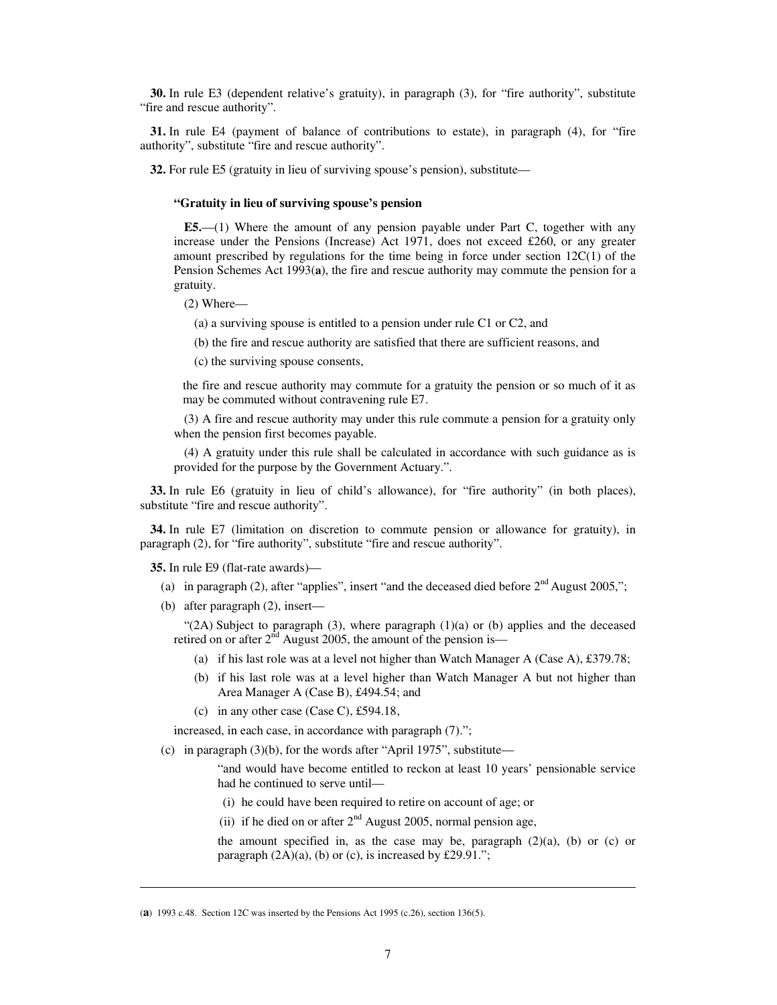**30.** In rule E3 (dependent relative's gratuity), in paragraph (3), for "fire authority", substitute "fire and rescue authority".

**31.** In rule E4 (payment of balance of contributions to estate), in paragraph (4), for "fire authority", substitute "fire and rescue authority".

**32.** For rule E5 (gratuity in lieu of surviving spouse's pension), substitute—

#### **"Gratuity in lieu of surviving spouse's pension**

**E5.**—(1) Where the amount of any pension payable under Part C, together with any increase under the Pensions (Increase) Act 1971, does not exceed £260, or any greater amount prescribed by regulations for the time being in force under section  $12C(1)$  of the Pension Schemes Act 1993(**a**), the fire and rescue authority may commute the pension for a gratuity.

(2) Where—

(a) a surviving spouse is entitled to a pension under rule C1 or C2, and

(b) the fire and rescue authority are satisfied that there are sufficient reasons, and

(c) the surviving spouse consents,

the fire and rescue authority may commute for a gratuity the pension or so much of it as may be commuted without contravening rule E7.

(3) A fire and rescue authority may under this rule commute a pension for a gratuity only when the pension first becomes payable.

(4) A gratuity under this rule shall be calculated in accordance with such guidance as is provided for the purpose by the Government Actuary.".

**33.** In rule E6 (gratuity in lieu of child's allowance), for "fire authority" (in both places), substitute "fire and rescue authority".

**34.** In rule E7 (limitation on discretion to commute pension or allowance for gratuity), in paragraph (2), for "fire authority", substitute "fire and rescue authority".

**35.** In rule E9 (flat-rate awards)—

-

- (a) in paragraph (2), after "applies", insert "and the deceased died before  $2<sup>nd</sup>$  August 2005,";
- (b) after paragraph (2), insert—

" $(2A)$  Subject to paragraph  $(3)$ , where paragraph  $(1)(a)$  or  $(b)$  applies and the deceased retired on or after  $2<sup>nd</sup>$  August 2005, the amount of the pension is—

- (a) if his last role was at a level not higher than Watch Manager A (Case A), £379.78;
- (b) if his last role was at a level higher than Watch Manager A but not higher than Area Manager A (Case B), £494.54; and
- (c) in any other case (Case C), £594.18,

increased, in each case, in accordance with paragraph (7).";

(c) in paragraph  $(3)(b)$ , for the words after "April 1975", substitute—

"and would have become entitled to reckon at least 10 years' pensionable service had he continued to serve until—

- (i) he could have been required to retire on account of age; or
- (ii) if he died on or after  $2<sup>nd</sup>$  August 2005, normal pension age,

the amount specified in, as the case may be, paragraph  $(2)(a)$ ,  $(b)$  or  $(c)$  or paragraph  $(2A)(a)$ ,  $(b)$  or  $(c)$ , is increased by £29.91.";

<sup>(</sup>**a**) 1993 c.48. Section 12C was inserted by the Pensions Act 1995 (c.26), section 136(5).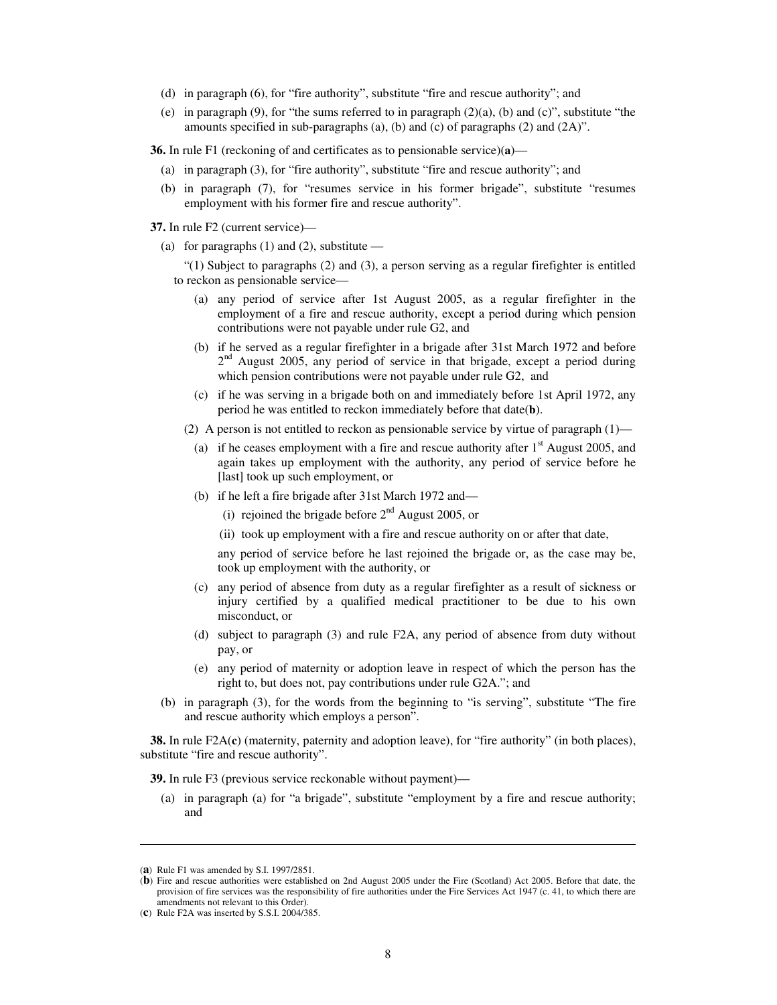- (d) in paragraph (6), for "fire authority", substitute "fire and rescue authority"; and
- (e) in paragraph  $(9)$ , for "the sums referred to in paragraph  $(2)(a)$ ,  $(b)$  and  $(c)$ ", substitute "the amounts specified in sub-paragraphs (a), (b) and (c) of paragraphs (2) and (2A)".

**36.** In rule F1 (reckoning of and certificates as to pensionable service)(**a**)—

- (a) in paragraph (3), for "fire authority", substitute "fire and rescue authority"; and
- (b) in paragraph (7), for "resumes service in his former brigade", substitute "resumes employment with his former fire and rescue authority".

**37.** In rule F2 (current service)—

(a) for paragraphs  $(1)$  and  $(2)$ , substitute —

"(1) Subject to paragraphs (2) and (3), a person serving as a regular firefighter is entitled to reckon as pensionable service—

- (a) any period of service after 1st August 2005, as a regular firefighter in the employment of a fire and rescue authority, except a period during which pension contributions were not payable under rule G2, and
- (b) if he served as a regular firefighter in a brigade after 31st March 1972 and before 2<sup>nd</sup> August 2005, any period of service in that brigade, except a period during which pension contributions were not payable under rule G2, and
- (c) if he was serving in a brigade both on and immediately before 1st April 1972, any period he was entitled to reckon immediately before that date(**b**).
- (2) A person is not entitled to reckon as pensionable service by virtue of paragraph  $(1)$ 
	- (a) if he ceases employment with a fire and rescue authority after  $1<sup>st</sup>$  August 2005, and again takes up employment with the authority, any period of service before he [last] took up such employment, or
	- (b) if he left a fire brigade after 31st March 1972 and—
		- (i) rejoined the brigade before  $2<sup>nd</sup>$  August 2005, or
		- (ii) took up employment with a fire and rescue authority on or after that date,

any period of service before he last rejoined the brigade or, as the case may be, took up employment with the authority, or

- (c) any period of absence from duty as a regular firefighter as a result of sickness or injury certified by a qualified medical practitioner to be due to his own misconduct, or
- (d) subject to paragraph (3) and rule F2A, any period of absence from duty without pay, or
- (e) any period of maternity or adoption leave in respect of which the person has the right to, but does not, pay contributions under rule G2A."; and
- (b) in paragraph (3), for the words from the beginning to "is serving", substitute "The fire and rescue authority which employs a person".

**38.** In rule F2A(**c**) (maternity, paternity and adoption leave), for "fire authority" (in both places), substitute "fire and rescue authority".

**39.** In rule F3 (previous service reckonable without payment)—

(a) in paragraph (a) for "a brigade", substitute "employment by a fire and rescue authority; and

j

<sup>(</sup>**a**) Rule F1 was amended by S.I. 1997/2851.

<sup>(</sup>**b**) Fire and rescue authorities were established on 2nd August 2005 under the Fire (Scotland) Act 2005. Before that date, the provision of fire services was the responsibility of fire authorities under the Fire Services Act 1947 (c. 41, to which there are amendments not relevant to this Order).

<sup>(</sup>**c**) Rule F2A was inserted by S.S.I. 2004/385.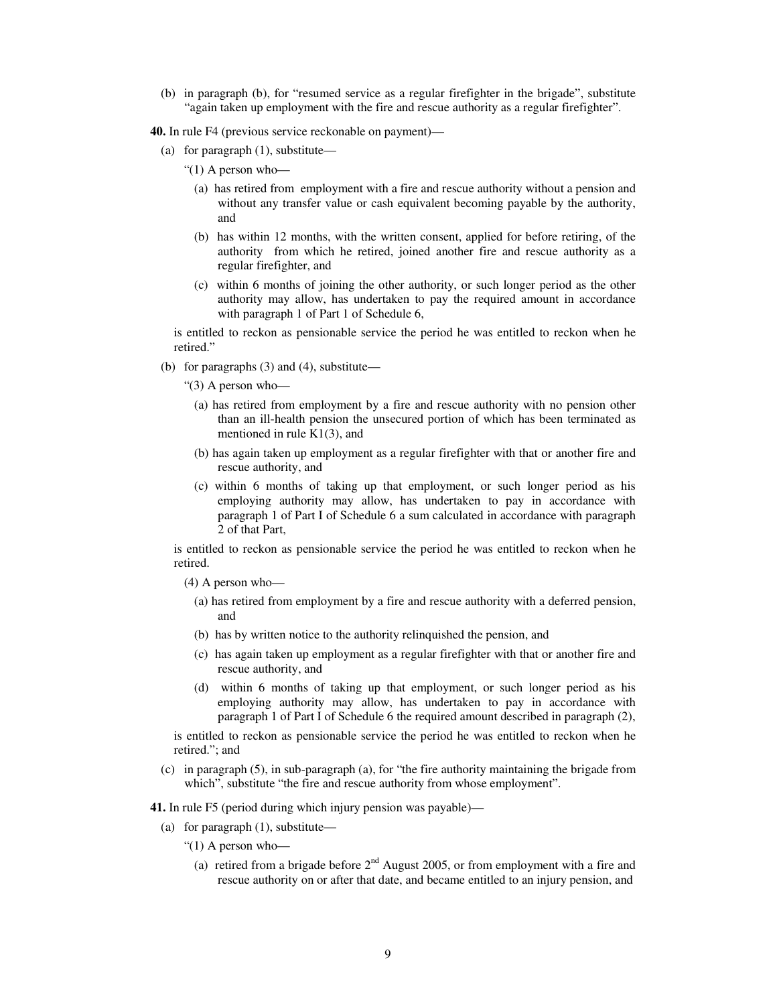(b) in paragraph (b), for "resumed service as a regular firefighter in the brigade", substitute "again taken up employment with the fire and rescue authority as a regular firefighter".

**40.** In rule F4 (previous service reckonable on payment)—

- (a) for paragraph (1), substitute—
	- " $(1)$  A person who-
		- (a) has retired from employment with a fire and rescue authority without a pension and without any transfer value or cash equivalent becoming payable by the authority, and
		- (b) has within 12 months, with the written consent, applied for before retiring, of the authority from which he retired, joined another fire and rescue authority as a regular firefighter, and
		- (c) within 6 months of joining the other authority, or such longer period as the other authority may allow, has undertaken to pay the required amount in accordance with paragraph 1 of Part 1 of Schedule 6,

is entitled to reckon as pensionable service the period he was entitled to reckon when he retired."

(b) for paragraphs  $(3)$  and  $(4)$ , substitute—

"(3) A person who—

- (a) has retired from employment by a fire and rescue authority with no pension other than an ill-health pension the unsecured portion of which has been terminated as mentioned in rule K1(3), and
- (b) has again taken up employment as a regular firefighter with that or another fire and rescue authority, and
- (c) within 6 months of taking up that employment, or such longer period as his employing authority may allow, has undertaken to pay in accordance with paragraph 1 of Part I of Schedule 6 a sum calculated in accordance with paragraph 2 of that Part,

is entitled to reckon as pensionable service the period he was entitled to reckon when he retired.

(4) A person who—

- (a) has retired from employment by a fire and rescue authority with a deferred pension, and
- (b) has by written notice to the authority relinquished the pension, and
- (c) has again taken up employment as a regular firefighter with that or another fire and rescue authority, and
- (d) within 6 months of taking up that employment, or such longer period as his employing authority may allow, has undertaken to pay in accordance with paragraph 1 of Part I of Schedule 6 the required amount described in paragraph (2),

is entitled to reckon as pensionable service the period he was entitled to reckon when he retired."; and

(c) in paragraph (5), in sub-paragraph (a), for "the fire authority maintaining the brigade from which", substitute "the fire and rescue authority from whose employment".

**41.** In rule F5 (period during which injury pension was payable)—

- (a) for paragraph (1), substitute—
	- "(1) A person who—
		- (a) retired from a brigade before  $2<sup>nd</sup>$  August 2005, or from employment with a fire and rescue authority on or after that date, and became entitled to an injury pension, and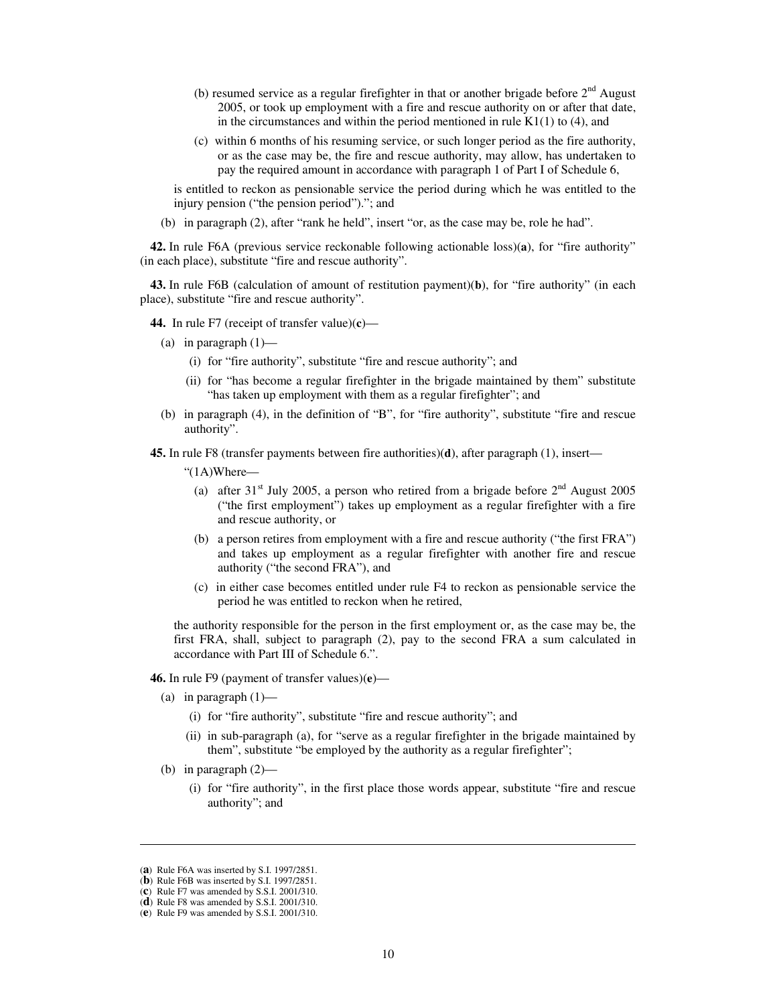- (b) resumed service as a regular firefighter in that or another brigade before  $2<sup>nd</sup>$  August 2005, or took up employment with a fire and rescue authority on or after that date, in the circumstances and within the period mentioned in rule  $K1(1)$  to (4), and
- (c) within 6 months of his resuming service, or such longer period as the fire authority, or as the case may be, the fire and rescue authority, may allow, has undertaken to pay the required amount in accordance with paragraph 1 of Part I of Schedule 6,

is entitled to reckon as pensionable service the period during which he was entitled to the injury pension ("the pension period")."; and

(b) in paragraph (2), after "rank he held", insert "or, as the case may be, role he had".

**42.** In rule F6A (previous service reckonable following actionable loss)(**a**), for "fire authority" (in each place), substitute "fire and rescue authority".

**43.** In rule F6B (calculation of amount of restitution payment)(**b**), for "fire authority" (in each place), substitute "fire and rescue authority".

**44.** In rule F7 (receipt of transfer value)(**c**)—

- (a) in paragraph  $(1)$ 
	- (i) for "fire authority", substitute "fire and rescue authority"; and
	- (ii) for "has become a regular firefighter in the brigade maintained by them" substitute "has taken up employment with them as a regular firefighter"; and
- (b) in paragraph (4), in the definition of "B", for "fire authority", substitute "fire and rescue authority".

**45.** In rule F8 (transfer payments between fire authorities)(**d**), after paragraph (1), insert—

"(1A)Where—

- (a) after 31<sup>st</sup> July 2005, a person who retired from a brigade before  $2<sup>nd</sup>$  August 2005 ("the first employment") takes up employment as a regular firefighter with a fire and rescue authority, or
- (b) a person retires from employment with a fire and rescue authority ("the first FRA") and takes up employment as a regular firefighter with another fire and rescue authority ("the second FRA"), and
- (c) in either case becomes entitled under rule F4 to reckon as pensionable service the period he was entitled to reckon when he retired,

the authority responsible for the person in the first employment or, as the case may be, the first FRA, shall, subject to paragraph (2), pay to the second FRA a sum calculated in accordance with Part III of Schedule 6.".

#### **46.** In rule F9 (payment of transfer values)(**e**)—

- (a) in paragraph  $(1)$ 
	- (i) for "fire authority", substitute "fire and rescue authority"; and
	- (ii) in sub-paragraph (a), for "serve as a regular firefighter in the brigade maintained by them", substitute "be employed by the authority as a regular firefighter";
- (b) in paragraph (2)—
	- (i) for "fire authority", in the first place those words appear, substitute "fire and rescue authority"; and

j

<sup>(</sup>**a**) Rule F6A was inserted by S.I. 1997/2851.

<sup>(</sup>**b**) Rule F6B was inserted by S.I. 1997/2851.

<sup>(</sup>**c**) Rule F7 was amended by S.S.I. 2001/310.

<sup>(</sup>**d**) Rule F8 was amended by S.S.I. 2001/310.

<sup>(</sup>**e**) Rule F9 was amended by S.S.I. 2001/310.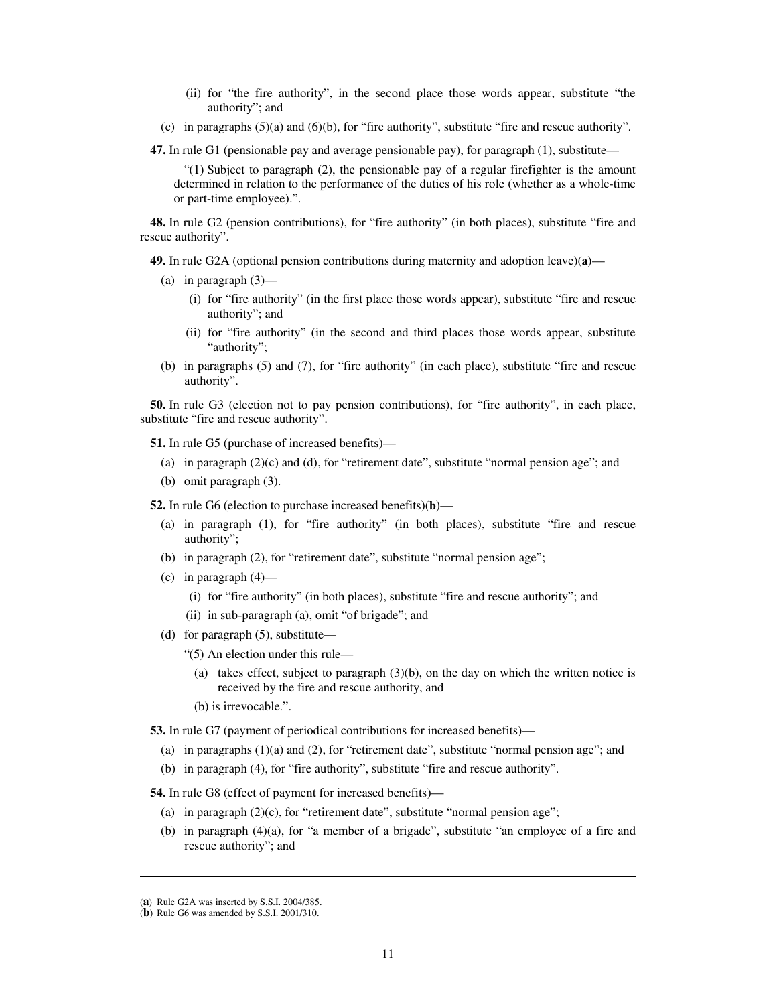- (ii) for "the fire authority", in the second place those words appear, substitute "the authority"; and
- (c) in paragraphs  $(5)(a)$  and  $(6)(b)$ , for "fire authority", substitute "fire and rescue authority".

**47.** In rule G1 (pensionable pay and average pensionable pay), for paragraph (1), substitute—

 $(1)$  Subject to paragraph  $(2)$ , the pensionable pay of a regular firefighter is the amount determined in relation to the performance of the duties of his role (whether as a whole-time or part-time employee).".

**48.** In rule G2 (pension contributions), for "fire authority" (in both places), substitute "fire and rescue authority".

**49.** In rule G2A (optional pension contributions during maternity and adoption leave)(**a**)—

- (a) in paragraph  $(3)$ 
	- (i) for "fire authority" (in the first place those words appear), substitute "fire and rescue authority"; and
	- (ii) for "fire authority" (in the second and third places those words appear, substitute "authority";
- (b) in paragraphs (5) and (7), for "fire authority" (in each place), substitute "fire and rescue authority".

**50.** In rule G3 (election not to pay pension contributions), for "fire authority", in each place, substitute "fire and rescue authority".

**51.** In rule G5 (purchase of increased benefits)—

- (a) in paragraph  $(2)(c)$  and (d), for "retirement date", substitute "normal pension age"; and
- (b) omit paragraph (3).

**52.** In rule G6 (election to purchase increased benefits)(**b**)—

- (a) in paragraph (1), for "fire authority" (in both places), substitute "fire and rescue authority";
- (b) in paragraph (2), for "retirement date", substitute "normal pension age";
- (c) in paragraph (4)—
	- (i) for "fire authority" (in both places), substitute "fire and rescue authority"; and
	- (ii) in sub-paragraph (a), omit "of brigade"; and
- (d) for paragraph (5), substitute—

"(5) An election under this rule—

- (a) takes effect, subject to paragraph  $(3)(b)$ , on the day on which the written notice is received by the fire and rescue authority, and
- (b) is irrevocable.".

**53.** In rule G7 (payment of periodical contributions for increased benefits)—

- (a) in paragraphs  $(1)(a)$  and  $(2)$ , for "retirement date", substitute "normal pension age"; and
- (b) in paragraph (4), for "fire authority", substitute "fire and rescue authority".

**54.** In rule G8 (effect of payment for increased benefits)—

- (a) in paragraph  $(2)(c)$ , for "retirement date", substitute "normal pension age";
- (b) in paragraph (4)(a), for "a member of a brigade", substitute "an employee of a fire and rescue authority"; and

 $\overline{a}$ 

<sup>(</sup>**a**) Rule G2A was inserted by S.S.I. 2004/385.

<sup>(</sup>**b**) Rule G6 was amended by S.S.I. 2001/310.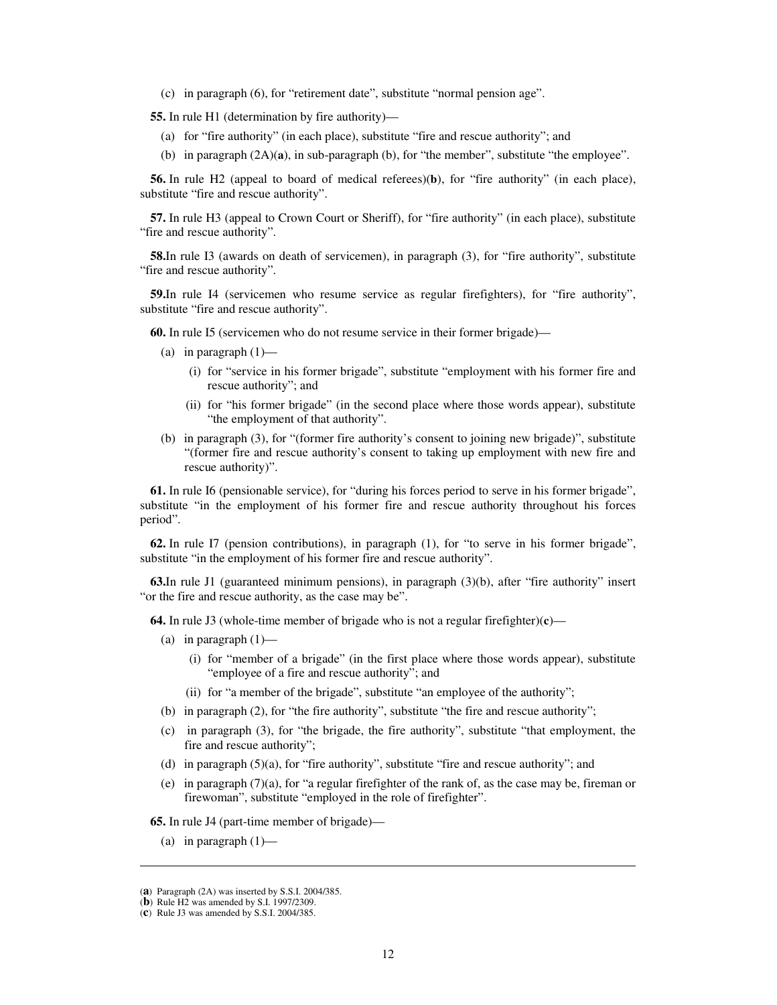(c) in paragraph (6), for "retirement date", substitute "normal pension age".

**55.** In rule H1 (determination by fire authority)—

- (a) for "fire authority" (in each place), substitute "fire and rescue authority"; and
- (b) in paragraph (2A)(**a**), in sub-paragraph (b), for "the member", substitute "the employee".

**56.** In rule H2 (appeal to board of medical referees)(**b**), for "fire authority" (in each place), substitute "fire and rescue authority".

**57.** In rule H3 (appeal to Crown Court or Sheriff), for "fire authority" (in each place), substitute "fire and rescue authority".

**58.**In rule I3 (awards on death of servicemen), in paragraph (3), for "fire authority", substitute "fire and rescue authority".

**59.**In rule I4 (servicemen who resume service as regular firefighters), for "fire authority", substitute "fire and rescue authority".

**60.** In rule I5 (servicemen who do not resume service in their former brigade)—

- (a) in paragraph  $(1)$ 
	- (i) for "service in his former brigade", substitute "employment with his former fire and rescue authority"; and
	- (ii) for "his former brigade" (in the second place where those words appear), substitute "the employment of that authority".
- (b) in paragraph (3), for "(former fire authority's consent to joining new brigade)", substitute "(former fire and rescue authority's consent to taking up employment with new fire and rescue authority)".

**61.** In rule I6 (pensionable service), for "during his forces period to serve in his former brigade", substitute "in the employment of his former fire and rescue authority throughout his forces period".

**62.** In rule I7 (pension contributions), in paragraph (1), for "to serve in his former brigade", substitute "in the employment of his former fire and rescue authority".

**63.**In rule J1 (guaranteed minimum pensions), in paragraph (3)(b), after "fire authority" insert "or the fire and rescue authority, as the case may be".

**64.** In rule J3 (whole-time member of brigade who is not a regular firefighter)(**c**)—

- (a) in paragraph  $(1)$ 
	- (i) for "member of a brigade" (in the first place where those words appear), substitute "employee of a fire and rescue authority"; and
	- (ii) for "a member of the brigade", substitute "an employee of the authority";
- (b) in paragraph (2), for "the fire authority", substitute "the fire and rescue authority";
- (c) in paragraph (3), for "the brigade, the fire authority", substitute "that employment, the fire and rescue authority";
- (d) in paragraph  $(5)(a)$ , for "fire authority", substitute "fire and rescue authority"; and
- (e) in paragraph (7)(a), for "a regular firefighter of the rank of, as the case may be, fireman or firewoman", substitute "employed in the role of firefighter".

**65.** In rule J4 (part-time member of brigade)—

(a) in paragraph  $(1)$ —

j

<sup>(</sup>**a**) Paragraph (2A) was inserted by S.S.I. 2004/385.

<sup>(</sup>**b**) Rule H2 was amended by S.I. 1997/2309.

<sup>(</sup>**c**) Rule J3 was amended by S.S.I. 2004/385.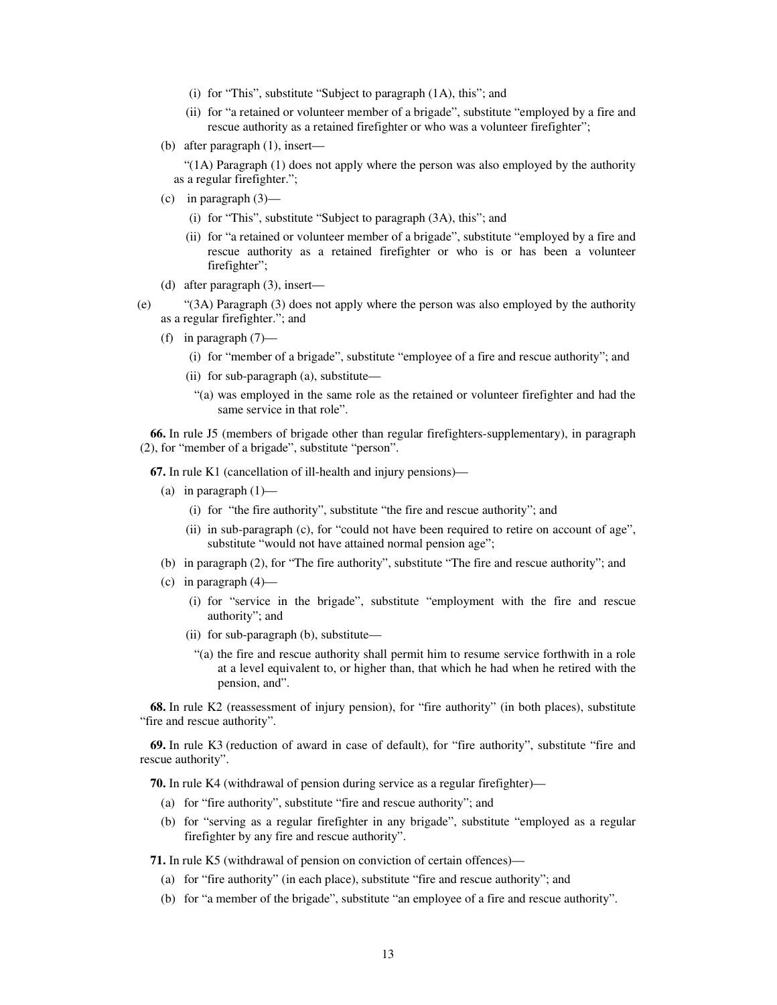- (i) for "This", substitute "Subject to paragraph (1A), this"; and
- (ii) for "a retained or volunteer member of a brigade", substitute "employed by a fire and rescue authority as a retained firefighter or who was a volunteer firefighter";
- (b) after paragraph (1), insert—
	- "(1A) Paragraph (1) does not apply where the person was also employed by the authority as a regular firefighter.";
- (c) in paragraph (3)—
	- (i) for "This", substitute "Subject to paragraph (3A), this"; and
	- (ii) for "a retained or volunteer member of a brigade", substitute "employed by a fire and rescue authority as a retained firefighter or who is or has been a volunteer firefighter";
- (d) after paragraph (3), insert—
- (e) "(3A) Paragraph (3) does not apply where the person was also employed by the authority as a regular firefighter."; and
	- (f) in paragraph  $(7)$ 
		- (i) for "member of a brigade", substitute "employee of a fire and rescue authority"; and
		- (ii) for sub-paragraph (a), substitute—
			- "(a) was employed in the same role as the retained or volunteer firefighter and had the same service in that role".

**66.** In rule J5 (members of brigade other than regular firefighters-supplementary), in paragraph (2), for "member of a brigade", substitute "person".

**67.** In rule K1 (cancellation of ill-health and injury pensions)—

- (a) in paragraph  $(1)$ 
	- (i) for "the fire authority", substitute "the fire and rescue authority"; and
	- (ii) in sub-paragraph (c), for "could not have been required to retire on account of age", substitute "would not have attained normal pension age";
- (b) in paragraph (2), for "The fire authority", substitute "The fire and rescue authority"; and
- (c) in paragraph  $(4)$ 
	- (i) for "service in the brigade", substitute "employment with the fire and rescue authority"; and
	- (ii) for sub-paragraph (b), substitute—
		- "(a) the fire and rescue authority shall permit him to resume service forthwith in a role at a level equivalent to, or higher than, that which he had when he retired with the pension, and".

**68.** In rule K2 (reassessment of injury pension), for "fire authority" (in both places), substitute "fire and rescue authority".

**69.** In rule K3 (reduction of award in case of default), for "fire authority", substitute "fire and rescue authority".

**70.** In rule K4 (withdrawal of pension during service as a regular firefighter)—

- (a) for "fire authority", substitute "fire and rescue authority"; and
- (b) for "serving as a regular firefighter in any brigade", substitute "employed as a regular firefighter by any fire and rescue authority".

**71.** In rule K5 (withdrawal of pension on conviction of certain offences)—

- (a) for "fire authority" (in each place), substitute "fire and rescue authority"; and
- (b) for "a member of the brigade", substitute "an employee of a fire and rescue authority".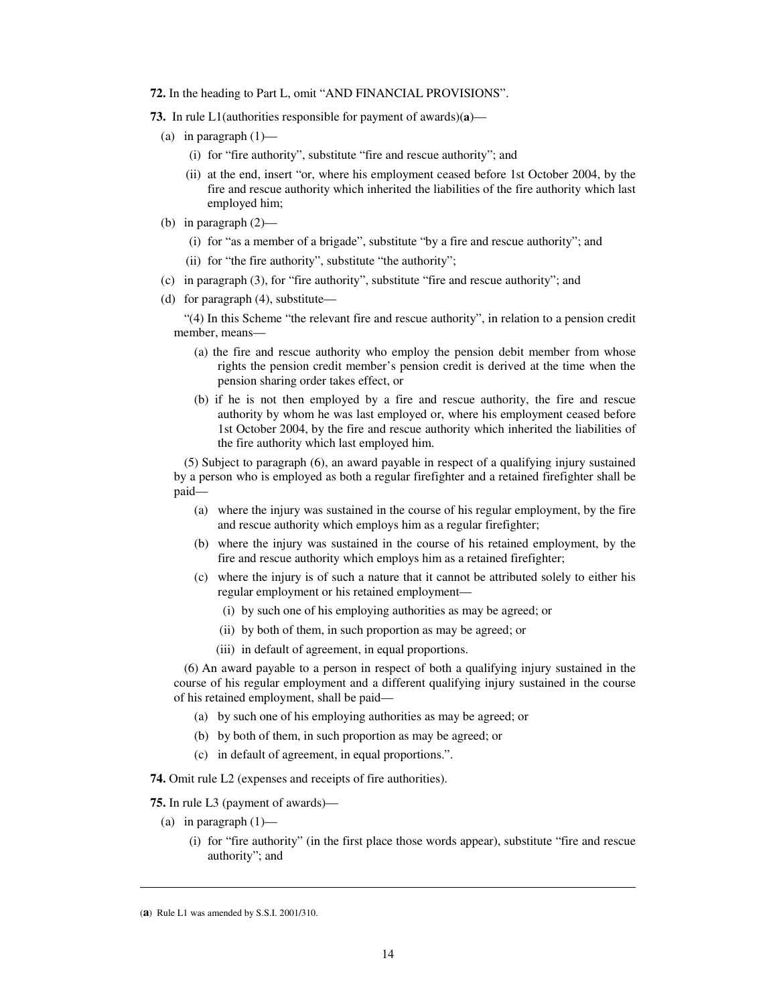- **72.** In the heading to Part L, omit "AND FINANCIAL PROVISIONS".
- **73.** In rule L1(authorities responsible for payment of awards)(**a**)—
	- (a) in paragraph  $(1)$ 
		- (i) for "fire authority", substitute "fire and rescue authority"; and
		- (ii) at the end, insert "or, where his employment ceased before 1st October 2004, by the fire and rescue authority which inherited the liabilities of the fire authority which last employed him;
	- (b) in paragraph (2)—
		- (i) for "as a member of a brigade", substitute "by a fire and rescue authority"; and
		- (ii) for "the fire authority", substitute "the authority";
	- (c) in paragraph (3), for "fire authority", substitute "fire and rescue authority"; and
	- (d) for paragraph (4), substitute—

"(4) In this Scheme "the relevant fire and rescue authority", in relation to a pension credit member, means—

- (a) the fire and rescue authority who employ the pension debit member from whose rights the pension credit member's pension credit is derived at the time when the pension sharing order takes effect, or
- (b) if he is not then employed by a fire and rescue authority, the fire and rescue authority by whom he was last employed or, where his employment ceased before 1st October 2004, by the fire and rescue authority which inherited the liabilities of the fire authority which last employed him.

(5) Subject to paragraph (6), an award payable in respect of a qualifying injury sustained by a person who is employed as both a regular firefighter and a retained firefighter shall be paid—

- (a) where the injury was sustained in the course of his regular employment, by the fire and rescue authority which employs him as a regular firefighter;
- (b) where the injury was sustained in the course of his retained employment, by the fire and rescue authority which employs him as a retained firefighter;
- (c) where the injury is of such a nature that it cannot be attributed solely to either his regular employment or his retained employment—
	- (i) by such one of his employing authorities as may be agreed; or
	- (ii) by both of them, in such proportion as may be agreed; or
	- (iii) in default of agreement, in equal proportions.

(6) An award payable to a person in respect of both a qualifying injury sustained in the course of his regular employment and a different qualifying injury sustained in the course of his retained employment, shall be paid—

- (a) by such one of his employing authorities as may be agreed; or
- (b) by both of them, in such proportion as may be agreed; or
- (c) in default of agreement, in equal proportions.".

**74.** Omit rule L2 (expenses and receipts of fire authorities).

**75.** In rule L3 (payment of awards)—

- (a) in paragraph  $(1)$ 
	- (i) for "fire authority" (in the first place those words appear), substitute "fire and rescue authority"; and

<sup>(</sup>**a**) Rule L1 was amended by S.S.I. 2001/310.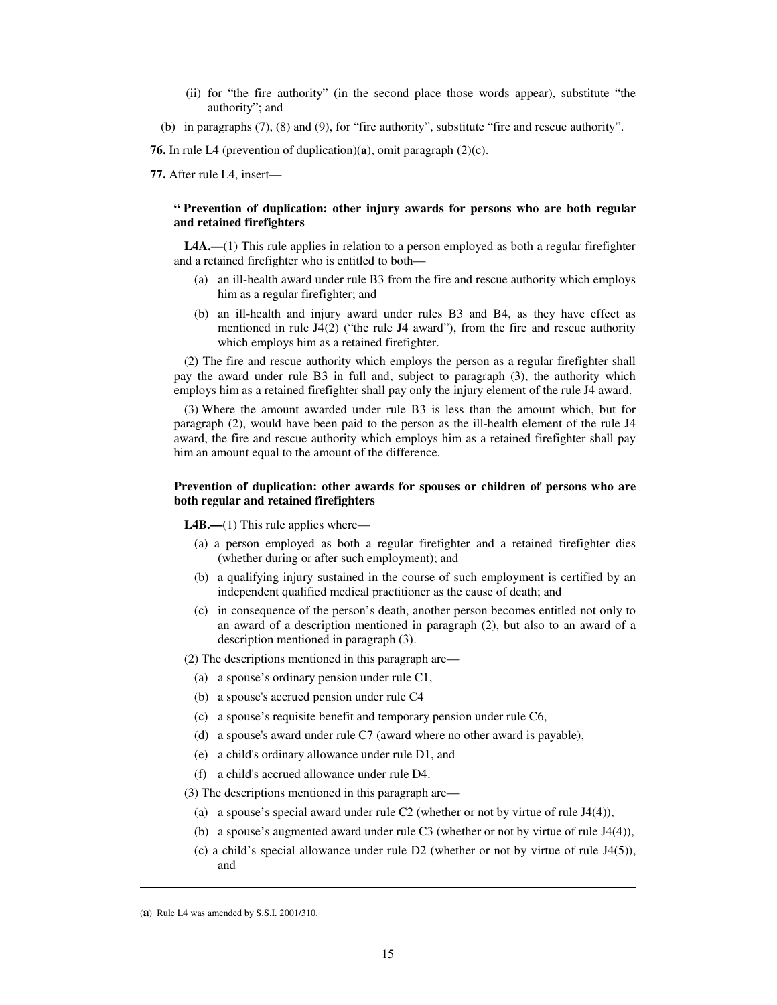- (ii) for "the fire authority" (in the second place those words appear), substitute "the authority"; and
- (b) in paragraphs (7), (8) and (9), for "fire authority", substitute "fire and rescue authority".

**76.** In rule L4 (prevention of duplication)(**a**), omit paragraph (2)(c).

**77.** After rule L4, insert—

## **" Prevention of duplication: other injury awards for persons who are both regular and retained firefighters**

**L4A.—**(1) This rule applies in relation to a person employed as both a regular firefighter and a retained firefighter who is entitled to both—

- (a) an ill-health award under rule B3 from the fire and rescue authority which employs him as a regular firefighter; and
- (b) an ill-health and injury award under rules B3 and B4, as they have effect as mentioned in rule J4(2) ("the rule J4 award"), from the fire and rescue authority which employs him as a retained firefighter.

(2) The fire and rescue authority which employs the person as a regular firefighter shall pay the award under rule B3 in full and, subject to paragraph (3), the authority which employs him as a retained firefighter shall pay only the injury element of the rule J4 award.

(3) Where the amount awarded under rule B3 is less than the amount which, but for paragraph (2), would have been paid to the person as the ill-health element of the rule J4 award, the fire and rescue authority which employs him as a retained firefighter shall pay him an amount equal to the amount of the difference.

### **Prevention of duplication: other awards for spouses or children of persons who are both regular and retained firefighters**

**L4B.—(1)** This rule applies where—

- (a) a person employed as both a regular firefighter and a retained firefighter dies (whether during or after such employment); and
- (b) a qualifying injury sustained in the course of such employment is certified by an independent qualified medical practitioner as the cause of death; and
- (c) in consequence of the person's death, another person becomes entitled not only to an award of a description mentioned in paragraph (2), but also to an award of a description mentioned in paragraph (3).

(2) The descriptions mentioned in this paragraph are—

- (a) a spouse's ordinary pension under rule C1,
- (b) a spouse's accrued pension under rule C4
- (c) a spouse's requisite benefit and temporary pension under rule C6,
- (d) a spouse's award under rule C7 (award where no other award is payable),
- (e) a child's ordinary allowance under rule D1, and
- (f) a child's accrued allowance under rule D4.

(3) The descriptions mentioned in this paragraph are—

- (a) a spouse's special award under rule C2 (whether or not by virtue of rule J4(4)),
- (b) a spouse's augmented award under rule C3 (whether or not by virtue of rule J4(4)),
- (c) a child's special allowance under rule D2 (whether or not by virtue of rule J4(5)), and

<sup>(</sup>**a**) Rule L4 was amended by S.S.I. 2001/310.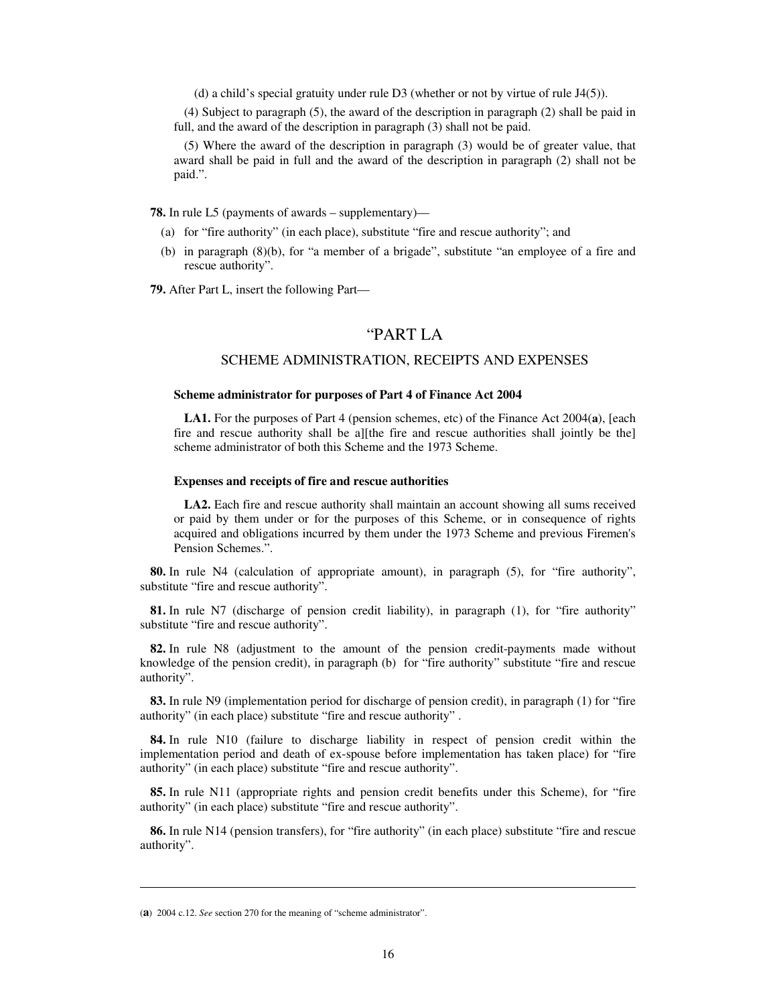(d) a child's special gratuity under rule D3 (whether or not by virtue of rule J4(5)).

(4) Subject to paragraph (5), the award of the description in paragraph (2) shall be paid in full, and the award of the description in paragraph (3) shall not be paid.

(5) Where the award of the description in paragraph (3) would be of greater value, that award shall be paid in full and the award of the description in paragraph (2) shall not be paid.".

**78.** In rule L5 (payments of awards – supplementary)—

- (a) for "fire authority" (in each place), substitute "fire and rescue authority"; and
- (b) in paragraph (8)(b), for "a member of a brigade", substitute "an employee of a fire and rescue authority".

**79.** After Part L, insert the following Part—

## "PART LA

## SCHEME ADMINISTRATION, RECEIPTS AND EXPENSES

#### **Scheme administrator for purposes of Part 4 of Finance Act 2004**

**LA1.** For the purposes of Part 4 (pension schemes, etc) of the Finance Act 2004(**a**), [each fire and rescue authority shall be a][the fire and rescue authorities shall jointly be the] scheme administrator of both this Scheme and the 1973 Scheme.

#### **Expenses and receipts of fire and rescue authorities**

**LA2.** Each fire and rescue authority shall maintain an account showing all sums received or paid by them under or for the purposes of this Scheme, or in consequence of rights acquired and obligations incurred by them under the 1973 Scheme and previous Firemen's Pension Schemes.".

**80.** In rule N4 (calculation of appropriate amount), in paragraph (5), for "fire authority", substitute "fire and rescue authority".

**81.** In rule N7 (discharge of pension credit liability), in paragraph (1), for "fire authority" substitute "fire and rescue authority".

**82.** In rule N8 (adjustment to the amount of the pension credit-payments made without knowledge of the pension credit), in paragraph (b) for "fire authority" substitute "fire and rescue authority".

**83.** In rule N9 (implementation period for discharge of pension credit), in paragraph (1) for "fire authority" (in each place) substitute "fire and rescue authority" .

**84.** In rule N10 (failure to discharge liability in respect of pension credit within the implementation period and death of ex-spouse before implementation has taken place) for "fire authority" (in each place) substitute "fire and rescue authority".

**85.** In rule N11 (appropriate rights and pension credit benefits under this Scheme), for "fire authority" (in each place) substitute "fire and rescue authority".

**86.** In rule N14 (pension transfers), for "fire authority" (in each place) substitute "fire and rescue authority".

<sup>(</sup>**a**) 2004 c.12. *See* section 270 for the meaning of "scheme administrator".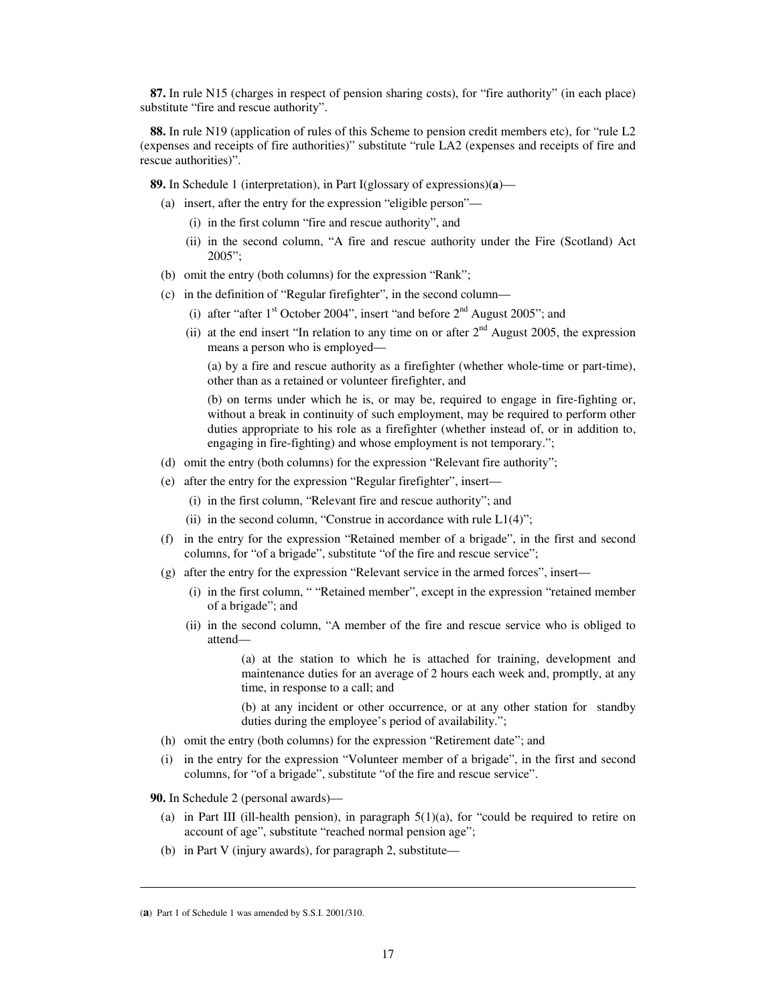**87.** In rule N15 (charges in respect of pension sharing costs), for "fire authority" (in each place) substitute "fire and rescue authority".

**88.** In rule N19 (application of rules of this Scheme to pension credit members etc), for "rule L2 (expenses and receipts of fire authorities)" substitute "rule LA2 (expenses and receipts of fire and rescue authorities)".

**89.** In Schedule 1 (interpretation), in Part I(glossary of expressions)(**a**)—

- (a) insert, after the entry for the expression "eligible person"—
	- (i) in the first column "fire and rescue authority", and
	- (ii) in the second column, "A fire and rescue authority under the Fire (Scotland) Act 2005";
- (b) omit the entry (both columns) for the expression "Rank";
- (c) in the definition of "Regular firefighter", in the second column—
	- (i) after "after  $1<sup>st</sup>$  October 2004", insert "and before  $2<sup>nd</sup>$  August 2005"; and
	- (ii) at the end insert "In relation to any time on or after  $2<sup>nd</sup>$  August 2005, the expression means a person who is employed—

(a) by a fire and rescue authority as a firefighter (whether whole-time or part-time), other than as a retained or volunteer firefighter, and

(b) on terms under which he is, or may be, required to engage in fire-fighting or, without a break in continuity of such employment, may be required to perform other duties appropriate to his role as a firefighter (whether instead of, or in addition to, engaging in fire-fighting) and whose employment is not temporary.";

- (d) omit the entry (both columns) for the expression "Relevant fire authority";
- (e) after the entry for the expression "Regular firefighter", insert—
	- (i) in the first column, "Relevant fire and rescue authority"; and
	- (ii) in the second column, "Construe in accordance with rule  $L1(4)$ ";
- (f) in the entry for the expression "Retained member of a brigade", in the first and second columns, for "of a brigade", substitute "of the fire and rescue service";
- (g) after the entry for the expression "Relevant service in the armed forces", insert—
	- (i) in the first column, " "Retained member", except in the expression "retained member of a brigade"; and
	- (ii) in the second column, "A member of the fire and rescue service who is obliged to attend—

(a) at the station to which he is attached for training, development and maintenance duties for an average of 2 hours each week and, promptly, at any time, in response to a call; and

(b) at any incident or other occurrence, or at any other station for standby duties during the employee's period of availability.";

- (h) omit the entry (both columns) for the expression "Retirement date"; and
- (i) in the entry for the expression "Volunteer member of a brigade", in the first and second columns, for "of a brigade", substitute "of the fire and rescue service".

**90.** In Schedule 2 (personal awards)—

- (a) in Part III (ill-health pension), in paragraph  $5(1)(a)$ , for "could be required to retire on account of age", substitute "reached normal pension age";
- (b) in Part V (injury awards), for paragraph 2, substitute—

<sup>(</sup>**a**) Part 1 of Schedule 1 was amended by S.S.I. 2001/310.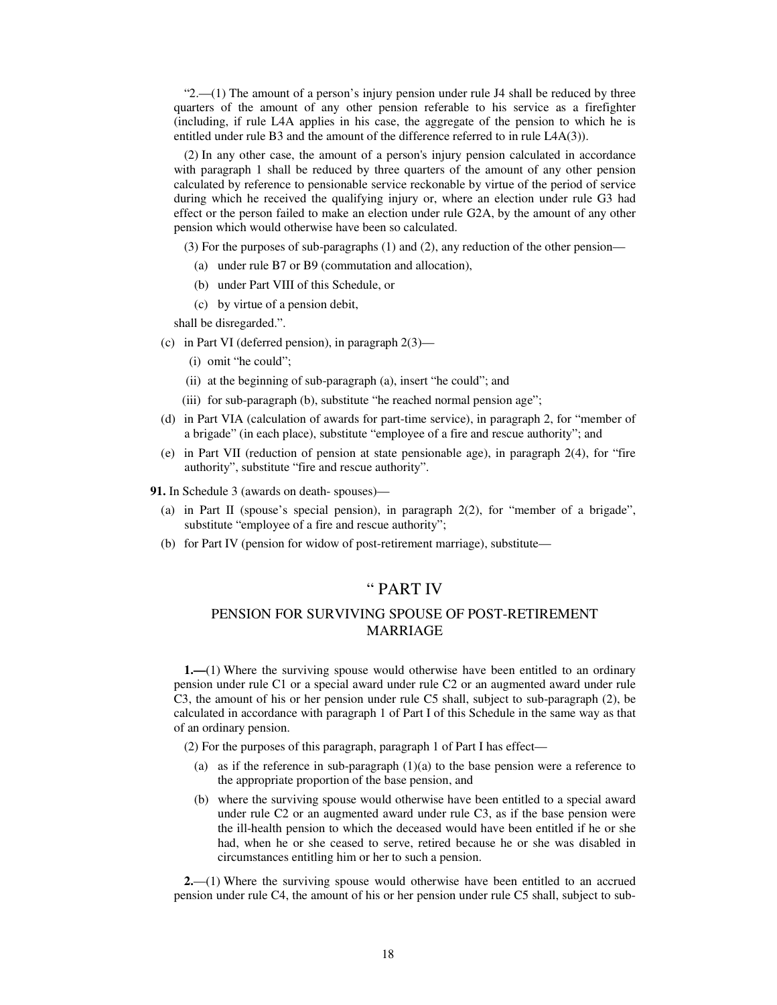" $2$ —(1) The amount of a person's injury pension under rule J4 shall be reduced by three quarters of the amount of any other pension referable to his service as a firefighter (including, if rule L4A applies in his case, the aggregate of the pension to which he is entitled under rule B3 and the amount of the difference referred to in rule L4A(3)).

(2) In any other case, the amount of a person's injury pension calculated in accordance with paragraph 1 shall be reduced by three quarters of the amount of any other pension calculated by reference to pensionable service reckonable by virtue of the period of service during which he received the qualifying injury or, where an election under rule G3 had effect or the person failed to make an election under rule G2A, by the amount of any other pension which would otherwise have been so calculated.

(3) For the purposes of sub-paragraphs (1) and (2), any reduction of the other pension—

- (a) under rule B7 or B9 (commutation and allocation),
- (b) under Part VIII of this Schedule, or
- (c) by virtue of a pension debit,

shall be disregarded.".

- (c) in Part VI (deferred pension), in paragraph 2(3)—
	- (i) omit "he could";
	- (ii) at the beginning of sub-paragraph (a), insert "he could"; and
	- (iii) for sub-paragraph (b), substitute "he reached normal pension age";
- (d) in Part VIA (calculation of awards for part-time service), in paragraph 2, for "member of a brigade" (in each place), substitute "employee of a fire and rescue authority"; and
- (e) in Part VII (reduction of pension at state pensionable age), in paragraph 2(4), for "fire authority", substitute "fire and rescue authority".

**91.** In Schedule 3 (awards on death- spouses)—

- (a) in Part II (spouse's special pension), in paragraph 2(2), for "member of a brigade", substitute "employee of a fire and rescue authority";
- (b) for Part IV (pension for widow of post-retirement marriage), substitute—

# " PART IV

## PENSION FOR SURVIVING SPOUSE OF POST-RETIREMENT MARRIAGE

**1.—**(1) Where the surviving spouse would otherwise have been entitled to an ordinary pension under rule C1 or a special award under rule C2 or an augmented award under rule C3, the amount of his or her pension under rule C5 shall, subject to sub-paragraph (2), be calculated in accordance with paragraph 1 of Part I of this Schedule in the same way as that of an ordinary pension.

(2) For the purposes of this paragraph, paragraph 1 of Part I has effect—

- (a) as if the reference in sub-paragraph  $(1)(a)$  to the base pension were a reference to the appropriate proportion of the base pension, and
- (b) where the surviving spouse would otherwise have been entitled to a special award under rule C2 or an augmented award under rule C3, as if the base pension were the ill-health pension to which the deceased would have been entitled if he or she had, when he or she ceased to serve, retired because he or she was disabled in circumstances entitling him or her to such a pension.

**2.**—(1) Where the surviving spouse would otherwise have been entitled to an accrued pension under rule C4, the amount of his or her pension under rule C5 shall, subject to sub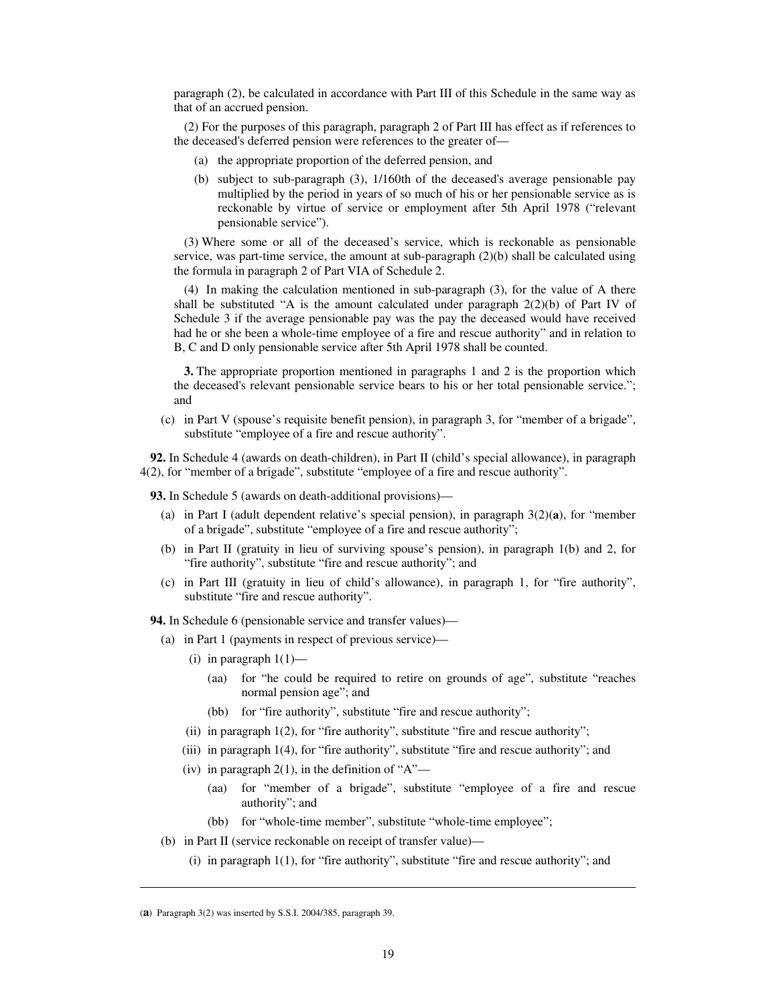paragraph (2), be calculated in accordance with Part III of this Schedule in the same way as that of an accrued pension.

(2) For the purposes of this paragraph, paragraph 2 of Part III has effect as if references to the deceased's deferred pension were references to the greater of—

- (a) the appropriate proportion of the deferred pension, and
- (b) subject to sub-paragraph (3), 1/160th of the deceased's average pensionable pay multiplied by the period in years of so much of his or her pensionable service as is reckonable by virtue of service or employment after 5th April 1978 ("relevant pensionable service").

(3) Where some or all of the deceased's service, which is reckonable as pensionable service, was part-time service, the amount at sub-paragraph (2)(b) shall be calculated using the formula in paragraph 2 of Part VIA of Schedule 2.

(4) In making the calculation mentioned in sub-paragraph (3), for the value of A there shall be substituted "A is the amount calculated under paragraph  $2(2)(b)$  of Part IV of Schedule 3 if the average pensionable pay was the pay the deceased would have received had he or she been a whole-time employee of a fire and rescue authority" and in relation to B, C and D only pensionable service after 5th April 1978 shall be counted.

**3.** The appropriate proportion mentioned in paragraphs 1 and 2 is the proportion which the deceased's relevant pensionable service bears to his or her total pensionable service."; and

(c) in Part V (spouse's requisite benefit pension), in paragraph 3, for "member of a brigade", substitute "employee of a fire and rescue authority".

**92.** In Schedule 4 (awards on death-children), in Part II (child's special allowance), in paragraph 4(2), for "member of a brigade", substitute "employee of a fire and rescue authority".

**93.** In Schedule 5 (awards on death-additional provisions)—

- (a) in Part I (adult dependent relative's special pension), in paragraph 3(2)(**a**), for "member of a brigade", substitute "employee of a fire and rescue authority";
- (b) in Part II (gratuity in lieu of surviving spouse's pension), in paragraph 1(b) and 2, for "fire authority", substitute "fire and rescue authority"; and
- (c) in Part III (gratuity in lieu of child's allowance), in paragraph 1, for "fire authority", substitute "fire and rescue authority".

**94.** In Schedule 6 (pensionable service and transfer values)—

- (a) in Part 1 (payments in respect of previous service)—
	- (i) in paragraph  $1(1)$ 
		- (aa) for "he could be required to retire on grounds of age", substitute "reaches normal pension age"; and
		- (bb) for "fire authority", substitute "fire and rescue authority";
	- (ii) in paragraph 1(2), for "fire authority", substitute "fire and rescue authority";
	- (iii) in paragraph 1(4), for "fire authority", substitute "fire and rescue authority"; and
	- (iv) in paragraph  $2(1)$ , in the definition of "A"—
		- (aa) for "member of a brigade", substitute "employee of a fire and rescue authority"; and
		- (bb) for "whole-time member", substitute "whole-time employee";
- (b) in Part II (service reckonable on receipt of transfer value)—
	- (i) in paragraph  $1(1)$ , for "fire authority", substitute "fire and rescue authority"; and

<sup>(</sup>**a**) Paragraph 3(2) was inserted by S.S.I. 2004/385, paragraph 39.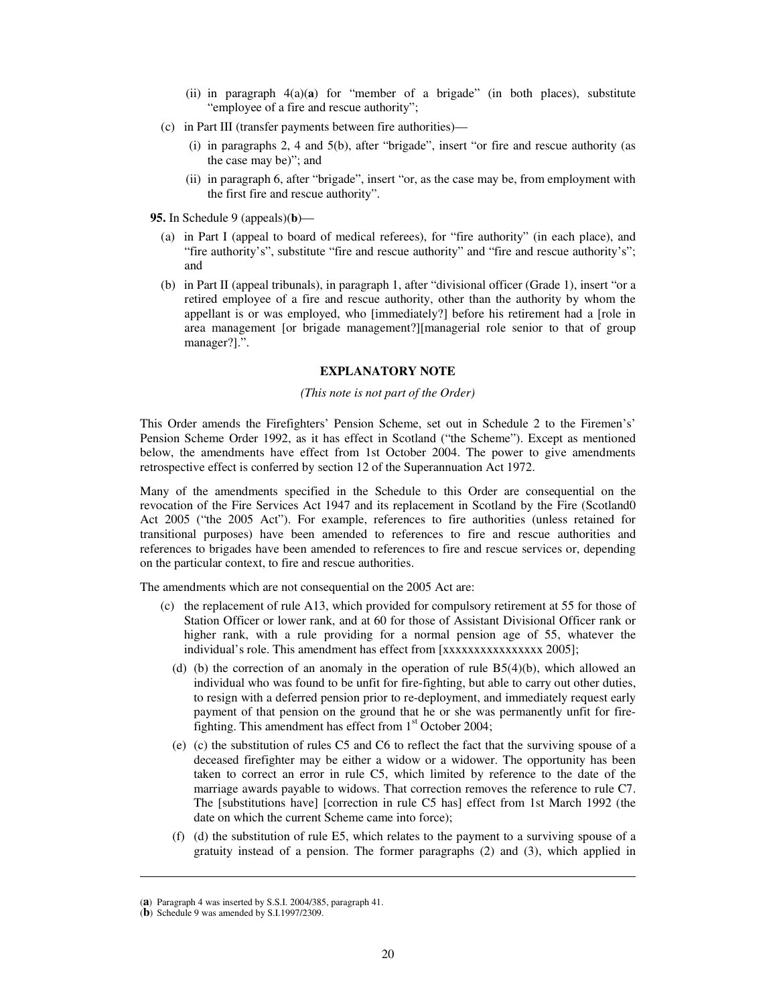- (ii) in paragraph 4(a)(**a**) for "member of a brigade" (in both places), substitute "employee of a fire and rescue authority";
- (c) in Part III (transfer payments between fire authorities)—
	- (i) in paragraphs 2, 4 and 5(b), after "brigade", insert "or fire and rescue authority (as the case may be)"; and
	- (ii) in paragraph 6, after "brigade", insert "or, as the case may be, from employment with the first fire and rescue authority".

**95.** In Schedule 9 (appeals)(**b**)—

- (a) in Part I (appeal to board of medical referees), for "fire authority" (in each place), and "fire authority's", substitute "fire and rescue authority" and "fire and rescue authority's"; and
- (b) in Part II (appeal tribunals), in paragraph 1, after "divisional officer (Grade 1), insert "or a retired employee of a fire and rescue authority, other than the authority by whom the appellant is or was employed, who [immediately?] before his retirement had a [role in area management [or brigade management?][managerial role senior to that of group manager?].".

#### **EXPLANATORY NOTE**

#### *(This note is not part of the Order)*

This Order amends the Firefighters' Pension Scheme, set out in Schedule 2 to the Firemen's' Pension Scheme Order 1992, as it has effect in Scotland ("the Scheme"). Except as mentioned below, the amendments have effect from 1st October 2004. The power to give amendments retrospective effect is conferred by section 12 of the Superannuation Act 1972.

Many of the amendments specified in the Schedule to this Order are consequential on the revocation of the Fire Services Act 1947 and its replacement in Scotland by the Fire (Scotland0 Act 2005 ("the 2005 Act"). For example, references to fire authorities (unless retained for transitional purposes) have been amended to references to fire and rescue authorities and references to brigades have been amended to references to fire and rescue services or, depending on the particular context, to fire and rescue authorities.

The amendments which are not consequential on the 2005 Act are:

- (c) the replacement of rule A13, which provided for compulsory retirement at 55 for those of Station Officer or lower rank, and at 60 for those of Assistant Divisional Officer rank or higher rank, with a rule providing for a normal pension age of 55, whatever the individual's role. This amendment has effect from [xxxxxxxxxxxxxxxx 2005];
	- (d) (b) the correction of an anomaly in the operation of rule  $B5(4)(b)$ , which allowed an individual who was found to be unfit for fire-fighting, but able to carry out other duties, to resign with a deferred pension prior to re-deployment, and immediately request early payment of that pension on the ground that he or she was permanently unfit for firefighting. This amendment has effect from  $1<sup>st</sup>$  October 2004;
	- (e) (c) the substitution of rules C5 and C6 to reflect the fact that the surviving spouse of a deceased firefighter may be either a widow or a widower. The opportunity has been taken to correct an error in rule C5, which limited by reference to the date of the marriage awards payable to widows. That correction removes the reference to rule C7. The [substitutions have] [correction in rule C5 has] effect from 1st March 1992 (the date on which the current Scheme came into force);
	- (f) (d) the substitution of rule E5, which relates to the payment to a surviving spouse of a gratuity instead of a pension. The former paragraphs (2) and (3), which applied in

 $\overline{a}$ 

<sup>(</sup>**a**) Paragraph 4 was inserted by S.S.I. 2004/385, paragraph 41.

<sup>(</sup>**b**) Schedule 9 was amended by S.I.1997/2309.